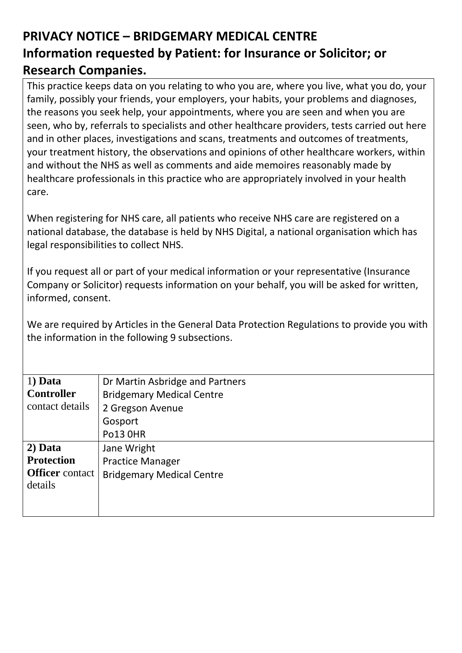## **PRIVACY NOTICE – BRIDGEMARY MEDICAL CENTRE Information requested by Patient: for Insurance or Solicitor; or Research Companies.**

This practice keeps data on you relating to who you are, where you live, what you do, your family, possibly your friends, your employers, your habits, your problems and diagnoses, the reasons you seek help, your appointments, where you are seen and when you are seen, who by, referrals to specialists and other healthcare providers, tests carried out here and in other places, investigations and scans, treatments and outcomes of treatments, your treatment history, the observations and opinions of other healthcare workers, within and without the NHS as well as comments and aide memoires reasonably made by healthcare professionals in this practice who are appropriately involved in your health care.

When registering for NHS care, all patients who receive NHS care are registered on a national database, the database is held by NHS Digital, a national organisation which has legal responsibilities to collect NHS.

If you request all or part of your medical information or your representative (Insurance Company or Solicitor) requests information on your behalf, you will be asked for written, informed, consent.

We are required by Articles in the General Data Protection Regulations to provide you with the information in the following 9 subsections.

| $1)$ Data              | Dr Martin Asbridge and Partners  |
|------------------------|----------------------------------|
| <b>Controller</b>      | <b>Bridgemary Medical Centre</b> |
| contact details        | 2 Gregson Avenue                 |
|                        | Gosport                          |
|                        | <b>Po13 0HR</b>                  |
| 2) Data                | Jane Wright                      |
| <b>Protection</b>      | <b>Practice Manager</b>          |
| <b>Officer</b> contact | <b>Bridgemary Medical Centre</b> |
| details                |                                  |
|                        |                                  |
|                        |                                  |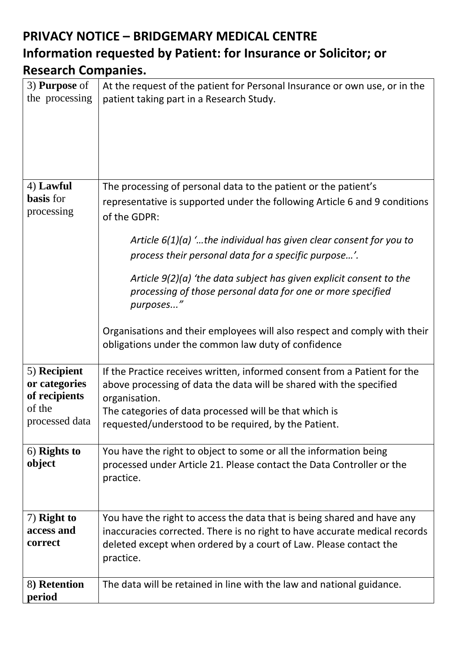## **PRIVACY NOTICE – BRIDGEMARY MEDICAL CENTRE Information requested by Patient: for Insurance or Solicitor; or Research Companies.**

| 3) <b>Purpose</b> of<br>the processing                                     | At the request of the patient for Personal Insurance or own use, or in the<br>patient taking part in a Research Study.                                                                                                                                                                                                                                                                                                                                                                                                                                                                |
|----------------------------------------------------------------------------|---------------------------------------------------------------------------------------------------------------------------------------------------------------------------------------------------------------------------------------------------------------------------------------------------------------------------------------------------------------------------------------------------------------------------------------------------------------------------------------------------------------------------------------------------------------------------------------|
| 4) Lawful<br><b>basis</b> for<br>processing                                | The processing of personal data to the patient or the patient's<br>representative is supported under the following Article 6 and 9 conditions<br>of the GDPR:<br>Article $6(1)(a)$ the individual has given clear consent for you to<br>process their personal data for a specific purpose'.<br>Article $9(2)(a)$ 'the data subject has given explicit consent to the<br>processing of those personal data for one or more specified<br>purposes"<br>Organisations and their employees will also respect and comply with their<br>obligations under the common law duty of confidence |
| 5) Recipient<br>or categories<br>of recipients<br>of the<br>processed data | If the Practice receives written, informed consent from a Patient for the<br>above processing of data the data will be shared with the specified<br>organisation.<br>The categories of data processed will be that which is<br>requested/understood to be required, by the Patient.                                                                                                                                                                                                                                                                                                   |
| 6) Rights to<br>object                                                     | You have the right to object to some or all the information being<br>processed under Article 21. Please contact the Data Controller or the<br>practice.                                                                                                                                                                                                                                                                                                                                                                                                                               |
| 7) Right to<br>access and<br>correct                                       | You have the right to access the data that is being shared and have any<br>inaccuracies corrected. There is no right to have accurate medical records<br>deleted except when ordered by a court of Law. Please contact the<br>practice.                                                                                                                                                                                                                                                                                                                                               |
| 8) Retention<br>period                                                     | The data will be retained in line with the law and national guidance.                                                                                                                                                                                                                                                                                                                                                                                                                                                                                                                 |